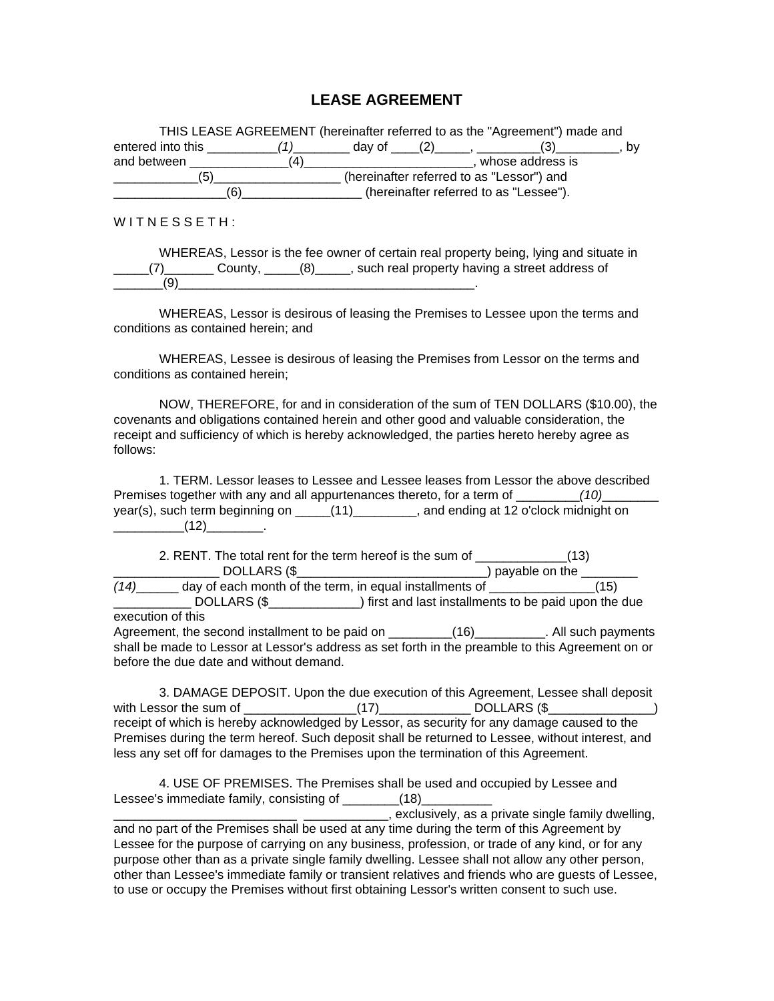## **LEASE AGREEMENT**

|                   |     |  | THIS LEASE AGREEMENT (hereinafter referred to as the "Agreement") made and |  |
|-------------------|-----|--|----------------------------------------------------------------------------|--|
| entered into this |     |  | day of $(2)$ , $(3)$<br>. bv                                               |  |
| and between       | (4) |  | whose address is                                                           |  |
| Έ,                |     |  | (hereinafter referred to as "Lessor") and                                  |  |
|                   |     |  | (hereinafter referred to as "Lessee").                                     |  |

 $W$  I T N E S S E T H :

|             | WHEREAS, Lessor is the fee owner of certain real property being, lying and situate in |
|-------------|---------------------------------------------------------------------------------------|
| County, (8) | such real property having a street address of                                         |
|             |                                                                                       |

WHEREAS, Lessor is desirous of leasing the Premises to Lessee upon the terms and conditions as contained herein; and

WHEREAS, Lessee is desirous of leasing the Premises from Lessor on the terms and conditions as contained herein;

NOW, THEREFORE, for and in consideration of the sum of TEN DOLLARS (\$10.00), the covenants and obligations contained herein and other good and valuable consideration, the receipt and sufficiency of which is hereby acknowledged, the parties hereto hereby agree as follows:

1. TERM. Lessor leases to Lessee and Lessee leases from Lessor the above described Premises together with any and all appurtenances thereto, for a term of \_\_\_\_\_\_\_\_\_*(10)*\_\_\_\_\_\_\_\_ year(s), such term beginning on \_\_\_\_\_(11)\_\_\_\_\_\_\_\_\_, and ending at 12 o'clock midnight on  $(12)$  .

2. RENT. The total rent for the term hereof is the sum of \_\_\_\_\_\_\_\_\_\_\_\_\_(13) \_\_\_\_\_\_\_\_\_\_\_\_\_\_\_\_\_\_ DOLLARS (\$\_\_\_\_\_\_\_\_\_\_\_\_\_\_\_\_\_\_\_\_\_\_\_\_\_\_\_\_\_\_) payable on the \_\_\_\_\_\_\_\_ *(14)*\_\_\_\_\_\_ day of each month of the term, in equal installments of \_\_\_\_\_\_\_\_\_\_\_\_\_\_\_(15) DOLLARS (\$
(S) first and last installments to be paid upon the due execution of this Agreement, the second installment to be paid on \_\_\_\_\_\_\_\_\_\_(16)\_\_\_\_\_\_\_\_\_\_. All such payments

shall be made to Lessor at Lessor's address as set forth in the preamble to this Agreement on or before the due date and without demand.

3. DAMAGE DEPOSIT. Upon the due execution of this Agreement, Lessee shall deposit with Lessor the sum of  $(17)$  DOLLARS (\$ receipt of which is hereby acknowledged by Lessor, as security for any damage caused to the Premises during the term hereof. Such deposit shall be returned to Lessee, without interest, and less any set off for damages to the Premises upon the termination of this Agreement.

4. USE OF PREMISES. The Premises shall be used and occupied by Lessee and Lessee's immediate family, consisting of \_\_\_\_\_\_\_\_\_(18)\_ \_\_\_\_\_\_\_\_\_\_\_\_\_\_\_\_\_\_\_\_\_\_\_\_\_\_ \_\_\_\_\_\_\_\_\_\_\_\_, exclusively, as a private single family dwelling, and no part of the Premises shall be used at any time during the term of this Agreement by Lessee for the purpose of carrying on any business, profession, or trade of any kind, or for any

purpose other than as a private single family dwelling. Lessee shall not allow any other person, other than Lessee's immediate family or transient relatives and friends who are guests of Lessee, to use or occupy the Premises without first obtaining Lessor's written consent to such use.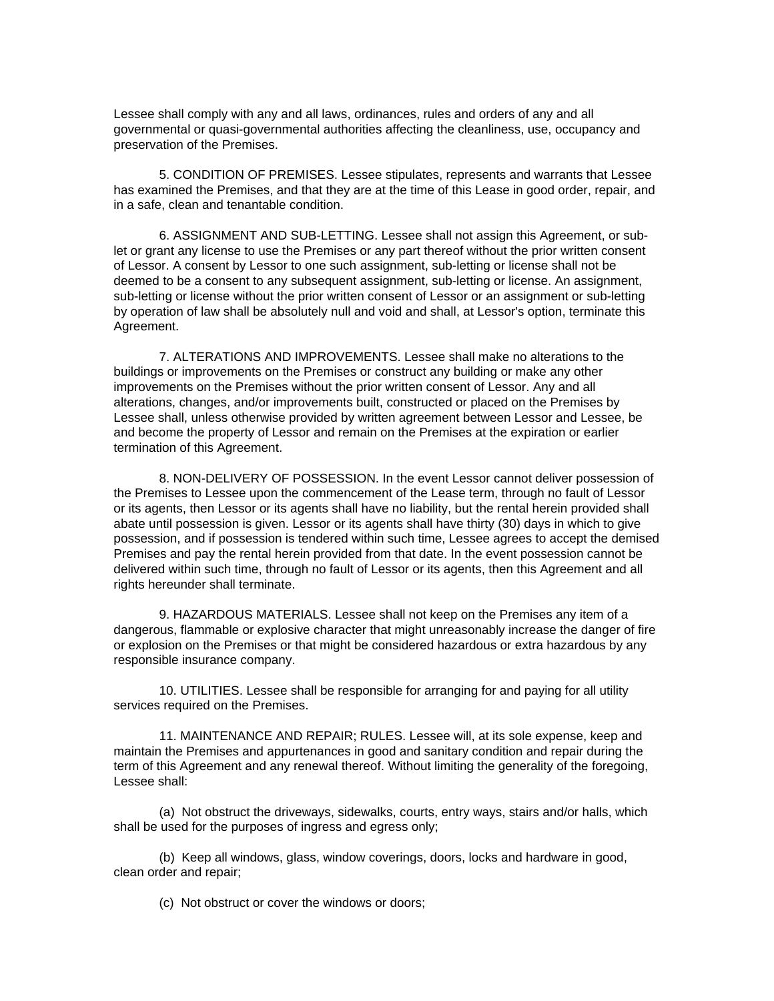Lessee shall comply with any and all laws, ordinances, rules and orders of any and all governmental or quasi-governmental authorities affecting the cleanliness, use, occupancy and preservation of the Premises.

5. CONDITION OF PREMISES. Lessee stipulates, represents and warrants that Lessee has examined the Premises, and that they are at the time of this Lease in good order, repair, and in a safe, clean and tenantable condition.

6. ASSIGNMENT AND SUB-LETTING. Lessee shall not assign this Agreement, or sublet or grant any license to use the Premises or any part thereof without the prior written consent of Lessor. A consent by Lessor to one such assignment, sub-letting or license shall not be deemed to be a consent to any subsequent assignment, sub-letting or license. An assignment, sub-letting or license without the prior written consent of Lessor or an assignment or sub-letting by operation of law shall be absolutely null and void and shall, at Lessor's option, terminate this Agreement.

7. ALTERATIONS AND IMPROVEMENTS. Lessee shall make no alterations to the buildings or improvements on the Premises or construct any building or make any other improvements on the Premises without the prior written consent of Lessor. Any and all alterations, changes, and/or improvements built, constructed or placed on the Premises by Lessee shall, unless otherwise provided by written agreement between Lessor and Lessee, be and become the property of Lessor and remain on the Premises at the expiration or earlier termination of this Agreement.

8. NON-DELIVERY OF POSSESSION. In the event Lessor cannot deliver possession of the Premises to Lessee upon the commencement of the Lease term, through no fault of Lessor or its agents, then Lessor or its agents shall have no liability, but the rental herein provided shall abate until possession is given. Lessor or its agents shall have thirty (30) days in which to give possession, and if possession is tendered within such time, Lessee agrees to accept the demised Premises and pay the rental herein provided from that date. In the event possession cannot be delivered within such time, through no fault of Lessor or its agents, then this Agreement and all rights hereunder shall terminate.

9. HAZARDOUS MATERIALS. Lessee shall not keep on the Premises any item of a dangerous, flammable or explosive character that might unreasonably increase the danger of fire or explosion on the Premises or that might be considered hazardous or extra hazardous by any responsible insurance company.

10. UTILITIES. Lessee shall be responsible for arranging for and paying for all utility services required on the Premises.

11. MAINTENANCE AND REPAIR; RULES. Lessee will, at its sole expense, keep and maintain the Premises and appurtenances in good and sanitary condition and repair during the term of this Agreement and any renewal thereof. Without limiting the generality of the foregoing, Lessee shall:

(a) Not obstruct the driveways, sidewalks, courts, entry ways, stairs and/or halls, which shall be used for the purposes of ingress and egress only;

(b) Keep all windows, glass, window coverings, doors, locks and hardware in good, clean order and repair;

(c) Not obstruct or cover the windows or doors;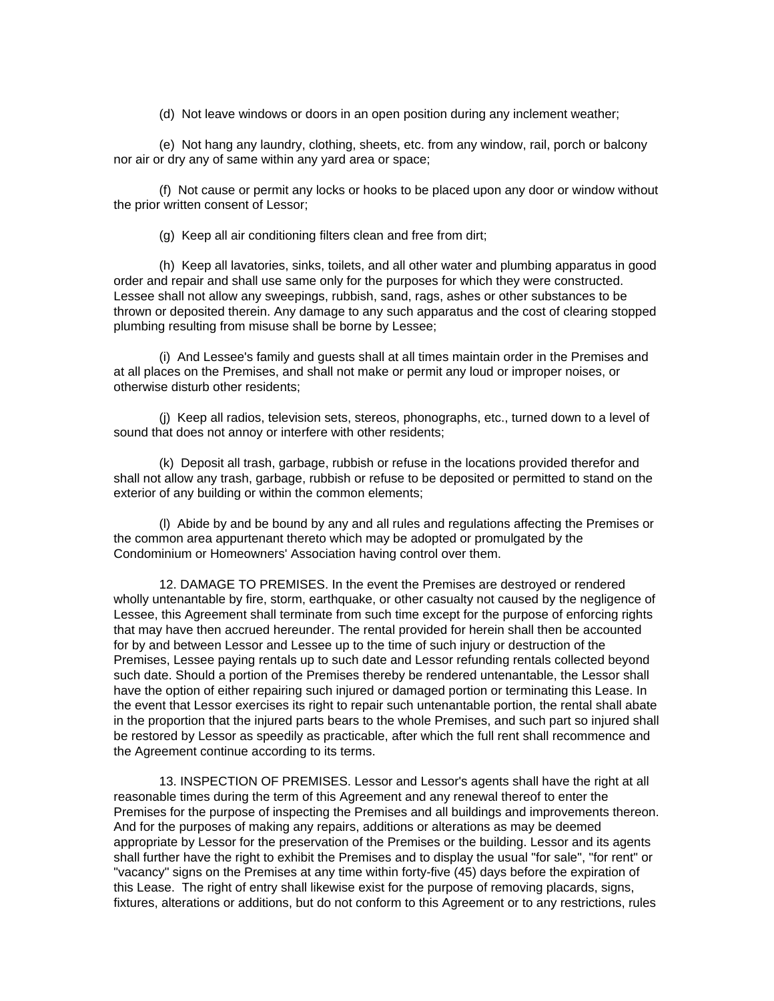(d) Not leave windows or doors in an open position during any inclement weather;

(e) Not hang any laundry, clothing, sheets, etc. from any window, rail, porch or balcony nor air or dry any of same within any yard area or space;

(f) Not cause or permit any locks or hooks to be placed upon any door or window without the prior written consent of Lessor;

(g) Keep all air conditioning filters clean and free from dirt;

(h) Keep all lavatories, sinks, toilets, and all other water and plumbing apparatus in good order and repair and shall use same only for the purposes for which they were constructed. Lessee shall not allow any sweepings, rubbish, sand, rags, ashes or other substances to be thrown or deposited therein. Any damage to any such apparatus and the cost of clearing stopped plumbing resulting from misuse shall be borne by Lessee;

(i) And Lessee's family and guests shall at all times maintain order in the Premises and at all places on the Premises, and shall not make or permit any loud or improper noises, or otherwise disturb other residents;

(j) Keep all radios, television sets, stereos, phonographs, etc., turned down to a level of sound that does not annoy or interfere with other residents;

(k) Deposit all trash, garbage, rubbish or refuse in the locations provided therefor and shall not allow any trash, garbage, rubbish or refuse to be deposited or permitted to stand on the exterior of any building or within the common elements;

(l) Abide by and be bound by any and all rules and regulations affecting the Premises or the common area appurtenant thereto which may be adopted or promulgated by the Condominium or Homeowners' Association having control over them.

12. DAMAGE TO PREMISES. In the event the Premises are destroyed or rendered wholly untenantable by fire, storm, earthquake, or other casualty not caused by the negligence of Lessee, this Agreement shall terminate from such time except for the purpose of enforcing rights that may have then accrued hereunder. The rental provided for herein shall then be accounted for by and between Lessor and Lessee up to the time of such injury or destruction of the Premises, Lessee paying rentals up to such date and Lessor refunding rentals collected beyond such date. Should a portion of the Premises thereby be rendered untenantable, the Lessor shall have the option of either repairing such injured or damaged portion or terminating this Lease. In the event that Lessor exercises its right to repair such untenantable portion, the rental shall abate in the proportion that the injured parts bears to the whole Premises, and such part so injured shall be restored by Lessor as speedily as practicable, after which the full rent shall recommence and the Agreement continue according to its terms.

13. INSPECTION OF PREMISES. Lessor and Lessor's agents shall have the right at all reasonable times during the term of this Agreement and any renewal thereof to enter the Premises for the purpose of inspecting the Premises and all buildings and improvements thereon. And for the purposes of making any repairs, additions or alterations as may be deemed appropriate by Lessor for the preservation of the Premises or the building. Lessor and its agents shall further have the right to exhibit the Premises and to display the usual "for sale", "for rent" or "vacancy" signs on the Premises at any time within forty-five (45) days before the expiration of this Lease. The right of entry shall likewise exist for the purpose of removing placards, signs, fixtures, alterations or additions, but do not conform to this Agreement or to any restrictions, rules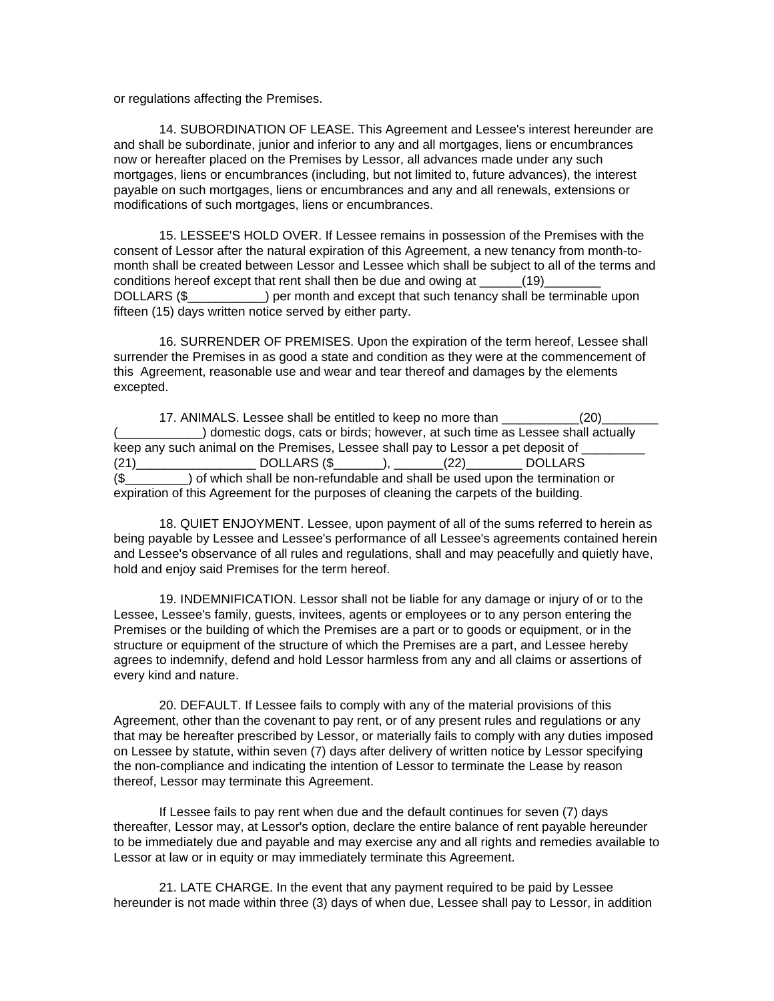or regulations affecting the Premises.

14. SUBORDINATION OF LEASE. This Agreement and Lessee's interest hereunder are and shall be subordinate, junior and inferior to any and all mortgages, liens or encumbrances now or hereafter placed on the Premises by Lessor, all advances made under any such mortgages, liens or encumbrances (including, but not limited to, future advances), the interest payable on such mortgages, liens or encumbrances and any and all renewals, extensions or modifications of such mortgages, liens or encumbrances.

15. LESSEE'S HOLD OVER. If Lessee remains in possession of the Premises with the consent of Lessor after the natural expiration of this Agreement, a new tenancy from month-tomonth shall be created between Lessor and Lessee which shall be subject to all of the terms and conditions hereof except that rent shall then be due and owing at (19) DOLLARS (\$ ) per month and except that such tenancy shall be terminable upon fifteen (15) days written notice served by either party.

16. SURRENDER OF PREMISES. Upon the expiration of the term hereof, Lessee shall surrender the Premises in as good a state and condition as they were at the commencement of this Agreement, reasonable use and wear and tear thereof and damages by the elements excepted.

17. ANIMALS. Lessee shall be entitled to keep no more than  $(20)$ ) domestic dogs, cats or birds; however, at such time as Lessee shall actually keep any such animal on the Premises, Lessee shall pay to Lessor a pet deposit of (21)\_\_\_\_\_\_\_\_\_\_\_\_\_\_\_\_\_ DOLLARS (\$\_\_\_\_\_\_\_), \_\_\_\_\_\_\_(22)\_\_\_\_\_\_\_\_ DOLLARS ) of which shall be non-refundable and shall be used upon the termination or expiration of this Agreement for the purposes of cleaning the carpets of the building.

18. QUIET ENJOYMENT. Lessee, upon payment of all of the sums referred to herein as being payable by Lessee and Lessee's performance of all Lessee's agreements contained herein and Lessee's observance of all rules and regulations, shall and may peacefully and quietly have, hold and enjoy said Premises for the term hereof.

19. INDEMNIFICATION. Lessor shall not be liable for any damage or injury of or to the Lessee, Lessee's family, guests, invitees, agents or employees or to any person entering the Premises or the building of which the Premises are a part or to goods or equipment, or in the structure or equipment of the structure of which the Premises are a part, and Lessee hereby agrees to indemnify, defend and hold Lessor harmless from any and all claims or assertions of every kind and nature.

20. DEFAULT. If Lessee fails to comply with any of the material provisions of this Agreement, other than the covenant to pay rent, or of any present rules and regulations or any that may be hereafter prescribed by Lessor, or materially fails to comply with any duties imposed on Lessee by statute, within seven (7) days after delivery of written notice by Lessor specifying the non-compliance and indicating the intention of Lessor to terminate the Lease by reason thereof, Lessor may terminate this Agreement.

If Lessee fails to pay rent when due and the default continues for seven (7) days thereafter, Lessor may, at Lessor's option, declare the entire balance of rent payable hereunder to be immediately due and payable and may exercise any and all rights and remedies available to Lessor at law or in equity or may immediately terminate this Agreement.

21. LATE CHARGE. In the event that any payment required to be paid by Lessee hereunder is not made within three (3) days of when due, Lessee shall pay to Lessor, in addition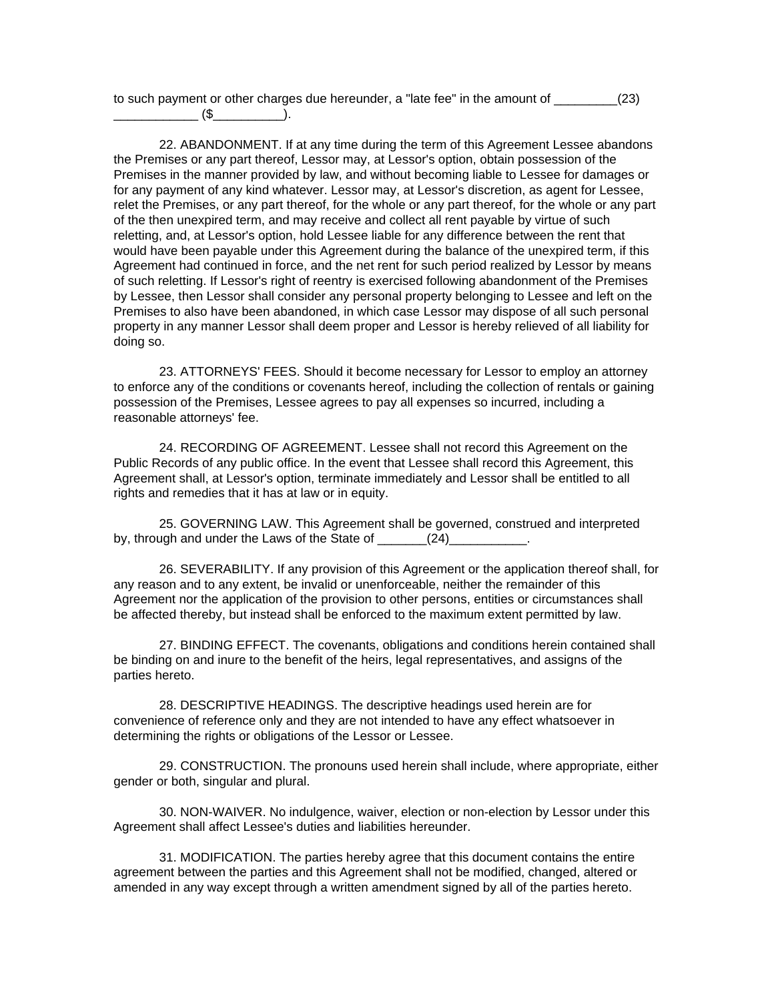to such payment or other charges due hereunder, a "late fee" in the amount of  $(23)$  $\qquad \qquad (\$ \qquad \qquad ).$ 

22. ABANDONMENT. If at any time during the term of this Agreement Lessee abandons the Premises or any part thereof, Lessor may, at Lessor's option, obtain possession of the Premises in the manner provided by law, and without becoming liable to Lessee for damages or for any payment of any kind whatever. Lessor may, at Lessor's discretion, as agent for Lessee, relet the Premises, or any part thereof, for the whole or any part thereof, for the whole or any part of the then unexpired term, and may receive and collect all rent payable by virtue of such reletting, and, at Lessor's option, hold Lessee liable for any difference between the rent that would have been payable under this Agreement during the balance of the unexpired term, if this Agreement had continued in force, and the net rent for such period realized by Lessor by means of such reletting. If Lessor's right of reentry is exercised following abandonment of the Premises by Lessee, then Lessor shall consider any personal property belonging to Lessee and left on the Premises to also have been abandoned, in which case Lessor may dispose of all such personal property in any manner Lessor shall deem proper and Lessor is hereby relieved of all liability for doing so.

23. ATTORNEYS' FEES. Should it become necessary for Lessor to employ an attorney to enforce any of the conditions or covenants hereof, including the collection of rentals or gaining possession of the Premises, Lessee agrees to pay all expenses so incurred, including a reasonable attorneys' fee.

24. RECORDING OF AGREEMENT. Lessee shall not record this Agreement on the Public Records of any public office. In the event that Lessee shall record this Agreement, this Agreement shall, at Lessor's option, terminate immediately and Lessor shall be entitled to all rights and remedies that it has at law or in equity.

25. GOVERNING LAW. This Agreement shall be governed, construed and interpreted by, through and under the Laws of the State of \_\_\_\_\_\_(24)\_\_\_\_\_\_\_\_\_\_\_.

26. SEVERABILITY. If any provision of this Agreement or the application thereof shall, for any reason and to any extent, be invalid or unenforceable, neither the remainder of this Agreement nor the application of the provision to other persons, entities or circumstances shall be affected thereby, but instead shall be enforced to the maximum extent permitted by law.

27. BINDING EFFECT. The covenants, obligations and conditions herein contained shall be binding on and inure to the benefit of the heirs, legal representatives, and assigns of the parties hereto.

28. DESCRIPTIVE HEADINGS. The descriptive headings used herein are for convenience of reference only and they are not intended to have any effect whatsoever in determining the rights or obligations of the Lessor or Lessee.

29. CONSTRUCTION. The pronouns used herein shall include, where appropriate, either gender or both, singular and plural.

30. NON-WAIVER. No indulgence, waiver, election or non-election by Lessor under this Agreement shall affect Lessee's duties and liabilities hereunder.

31. MODIFICATION. The parties hereby agree that this document contains the entire agreement between the parties and this Agreement shall not be modified, changed, altered or amended in any way except through a written amendment signed by all of the parties hereto.